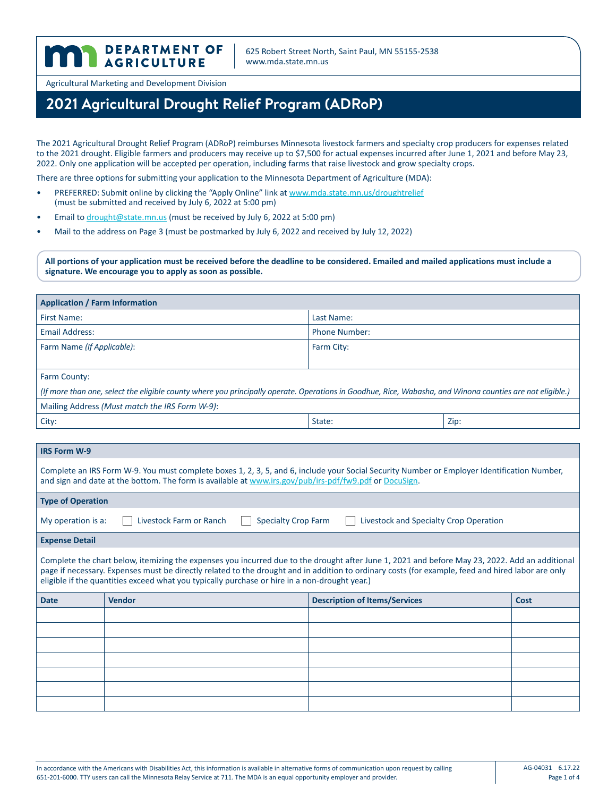625 Robert Street North, Saint Paul, MN 55155-2538 www.mda.state.mn.us

Agricultural Marketing and Development Division

DEPARTMENT OF

# **2021 Agricultural Drought Relief Program (ADRoP)**

The 2021 Agricultural Drought Relief Program (ADRoP) reimburses Minnesota livestock farmers and specialty crop producers for expenses related to the 2021 drought. Eligible farmers and producers may receive up to \$7,500 for actual expenses incurred after June 1, 2021 and before May 23, 2022. Only one application will be accepted per operation, including farms that raise livestock and grow specialty crops.

There are three options for submitting your application to the Minnesota Department of Agriculture (MDA):

- PREFERRED: Submit online by clicking the "Apply Online" link at [www.mda.state.mn.us/droughtrelief](http://www.mda.state.mn.us/droughtrelief) (must be submitted and received by July 6, 2022 at 5:00 pm)
- Email to [drought@state.mn.us](mailto:drought%40state.mn.us?subject=drought%40state.mn.us) (must be received by July 6, 2022 at 5:00 pm)
- Mail to the address on Page 3 (must be postmarked by July 6, 2022 and received by July 12, 2022)

**All portions of your application must be received before the deadline to be considered. Emailed and mailed applications must include a signature. We encourage you to apply as soon as possible.** 

| <b>Application / Farm Information</b>                                                                                                                                                                                                                                                                                                                                                                |                      |      |  |  |
|------------------------------------------------------------------------------------------------------------------------------------------------------------------------------------------------------------------------------------------------------------------------------------------------------------------------------------------------------------------------------------------------------|----------------------|------|--|--|
| First Name:                                                                                                                                                                                                                                                                                                                                                                                          | Last Name:           |      |  |  |
| <b>Email Address:</b>                                                                                                                                                                                                                                                                                                                                                                                | <b>Phone Number:</b> |      |  |  |
| Farm Name (If Applicable):                                                                                                                                                                                                                                                                                                                                                                           | Farm City:           |      |  |  |
|                                                                                                                                                                                                                                                                                                                                                                                                      |                      |      |  |  |
| Farm County:                                                                                                                                                                                                                                                                                                                                                                                         |                      |      |  |  |
| (If more than one, select the eligible county where you principally operate. Operations in Goodhue, Rice, Wabasha, and Winona counties are not eligible.)                                                                                                                                                                                                                                            |                      |      |  |  |
| Mailing Address (Must match the IRS Form W-9):                                                                                                                                                                                                                                                                                                                                                       |                      |      |  |  |
| City:                                                                                                                                                                                                                                                                                                                                                                                                | State:               | Zip: |  |  |
|                                                                                                                                                                                                                                                                                                                                                                                                      |                      |      |  |  |
| <b>IRS Form W-9</b>                                                                                                                                                                                                                                                                                                                                                                                  |                      |      |  |  |
| Complete an IRS Form W-9. You must complete boxes 1, 2, 3, 5, and 6, include your Social Security Number or Employer Identification Number,<br>and sign and date at the bottom. The form is available at www.irs.gov/pub/irs-pdf/fw9.pdf or DocuSign.                                                                                                                                                |                      |      |  |  |
| <b>Type of Operation</b>                                                                                                                                                                                                                                                                                                                                                                             |                      |      |  |  |
| <b>Specialty Crop Farm</b><br>Livestock Farm or Ranch<br>Livestock and Specialty Crop Operation<br>My operation is a:                                                                                                                                                                                                                                                                                |                      |      |  |  |
| <b>Expense Detail</b>                                                                                                                                                                                                                                                                                                                                                                                |                      |      |  |  |
| Complete the chart below, itemizing the expenses you incurred due to the drought after June 1, 2021 and before May 23, 2022. Add an additional<br>page if necessary. Expenses must be directly related to the drought and in addition to ordinary costs (for example, feed and hired labor are only<br>eligible if the quantities exceed what you typically purchase or hire in a non-drought year.) |                      |      |  |  |

| <b>Date</b> | Vendor | <b>Description of Items/Services</b> | Cost |
|-------------|--------|--------------------------------------|------|
|             |        |                                      |      |
|             |        |                                      |      |
|             |        |                                      |      |
|             |        |                                      |      |
|             |        |                                      |      |
|             |        |                                      |      |
|             |        |                                      |      |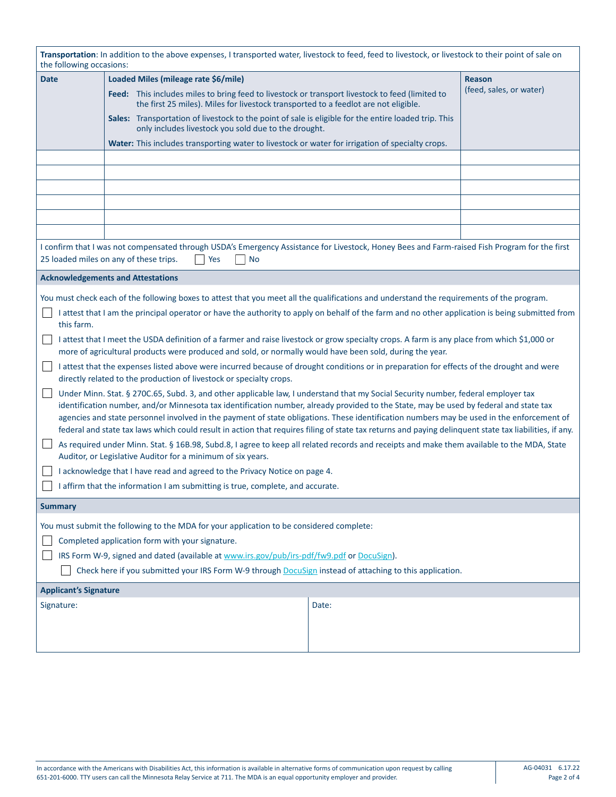| Transportation: In addition to the above expenses, I transported water, livestock to feed, feed to livestock, or livestock to their point of sale on<br>the following occasions:                                                                                                                                                                                                                                                                                                                                                                                                                                                                                                                                                                                                                                                                                                                                                                                                                                                                                                                                                                                                                                                                                                                                                                                                                                                                                                                                                                                                                                                                                                                                                                             |                                                                                                                                                                                                                                                                                                                                                                                                                                                                                                    |       |                                          |  |
|--------------------------------------------------------------------------------------------------------------------------------------------------------------------------------------------------------------------------------------------------------------------------------------------------------------------------------------------------------------------------------------------------------------------------------------------------------------------------------------------------------------------------------------------------------------------------------------------------------------------------------------------------------------------------------------------------------------------------------------------------------------------------------------------------------------------------------------------------------------------------------------------------------------------------------------------------------------------------------------------------------------------------------------------------------------------------------------------------------------------------------------------------------------------------------------------------------------------------------------------------------------------------------------------------------------------------------------------------------------------------------------------------------------------------------------------------------------------------------------------------------------------------------------------------------------------------------------------------------------------------------------------------------------------------------------------------------------------------------------------------------------|----------------------------------------------------------------------------------------------------------------------------------------------------------------------------------------------------------------------------------------------------------------------------------------------------------------------------------------------------------------------------------------------------------------------------------------------------------------------------------------------------|-------|------------------------------------------|--|
| <b>Date</b>                                                                                                                                                                                                                                                                                                                                                                                                                                                                                                                                                                                                                                                                                                                                                                                                                                                                                                                                                                                                                                                                                                                                                                                                                                                                                                                                                                                                                                                                                                                                                                                                                                                                                                                                                  | Loaded Miles (mileage rate \$6/mile)<br>Feed: This includes miles to bring feed to livestock or transport livestock to feed (limited to<br>the first 25 miles). Miles for livestock transported to a feedlot are not eligible.<br>Sales: Transportation of livestock to the point of sale is eligible for the entire loaded trip. This<br>only includes livestock you sold due to the drought.<br>Water: This includes transporting water to livestock or water for irrigation of specialty crops. |       | <b>Reason</b><br>(feed, sales, or water) |  |
| I confirm that I was not compensated through USDA's Emergency Assistance for Livestock, Honey Bees and Farm-raised Fish Program for the first<br>25 loaded miles on any of these trips.<br><b>No</b><br>Yes                                                                                                                                                                                                                                                                                                                                                                                                                                                                                                                                                                                                                                                                                                                                                                                                                                                                                                                                                                                                                                                                                                                                                                                                                                                                                                                                                                                                                                                                                                                                                  |                                                                                                                                                                                                                                                                                                                                                                                                                                                                                                    |       |                                          |  |
|                                                                                                                                                                                                                                                                                                                                                                                                                                                                                                                                                                                                                                                                                                                                                                                                                                                                                                                                                                                                                                                                                                                                                                                                                                                                                                                                                                                                                                                                                                                                                                                                                                                                                                                                                              | <b>Acknowledgements and Attestations</b>                                                                                                                                                                                                                                                                                                                                                                                                                                                           |       |                                          |  |
| You must check each of the following boxes to attest that you meet all the qualifications and understand the requirements of the program.<br>I attest that I am the principal operator or have the authority to apply on behalf of the farm and no other application is being submitted from<br>this farm.<br>I attest that I meet the USDA definition of a farmer and raise livestock or grow specialty crops. A farm is any place from which \$1,000 or<br>more of agricultural products were produced and sold, or normally would have been sold, during the year.<br>I attest that the expenses listed above were incurred because of drought conditions or in preparation for effects of the drought and were<br>directly related to the production of livestock or specialty crops.<br>Under Minn. Stat. § 270C.65, Subd. 3, and other applicable law, I understand that my Social Security number, federal employer tax<br>identification number, and/or Minnesota tax identification number, already provided to the State, may be used by federal and state tax<br>agencies and state personnel involved in the payment of state obligations. These identification numbers may be used in the enforcement of<br>federal and state tax laws which could result in action that requires filing of state tax returns and paying delinquent state tax liabilities, if any.<br>As required under Minn. Stat. § 16B.98, Subd.8, I agree to keep all related records and receipts and make them available to the MDA, State<br>Auditor, or Legislative Auditor for a minimum of six years.<br>I acknowledge that I have read and agreed to the Privacy Notice on page 4.<br>I affirm that the information I am submitting is true, complete, and accurate. |                                                                                                                                                                                                                                                                                                                                                                                                                                                                                                    |       |                                          |  |
| <b>Summary</b>                                                                                                                                                                                                                                                                                                                                                                                                                                                                                                                                                                                                                                                                                                                                                                                                                                                                                                                                                                                                                                                                                                                                                                                                                                                                                                                                                                                                                                                                                                                                                                                                                                                                                                                                               |                                                                                                                                                                                                                                                                                                                                                                                                                                                                                                    |       |                                          |  |
| You must submit the following to the MDA for your application to be considered complete:<br>Completed application form with your signature.<br>IRS Form W-9, signed and dated (available at www.irs.gov/pub/irs-pdf/fw9.pdf or DocuSign).<br>Check here if you submitted your IRS Form W-9 through DocuSign instead of attaching to this application.                                                                                                                                                                                                                                                                                                                                                                                                                                                                                                                                                                                                                                                                                                                                                                                                                                                                                                                                                                                                                                                                                                                                                                                                                                                                                                                                                                                                        |                                                                                                                                                                                                                                                                                                                                                                                                                                                                                                    |       |                                          |  |
| <b>Applicant's Signature</b>                                                                                                                                                                                                                                                                                                                                                                                                                                                                                                                                                                                                                                                                                                                                                                                                                                                                                                                                                                                                                                                                                                                                                                                                                                                                                                                                                                                                                                                                                                                                                                                                                                                                                                                                 |                                                                                                                                                                                                                                                                                                                                                                                                                                                                                                    |       |                                          |  |
| Signature:                                                                                                                                                                                                                                                                                                                                                                                                                                                                                                                                                                                                                                                                                                                                                                                                                                                                                                                                                                                                                                                                                                                                                                                                                                                                                                                                                                                                                                                                                                                                                                                                                                                                                                                                                   |                                                                                                                                                                                                                                                                                                                                                                                                                                                                                                    | Date: |                                          |  |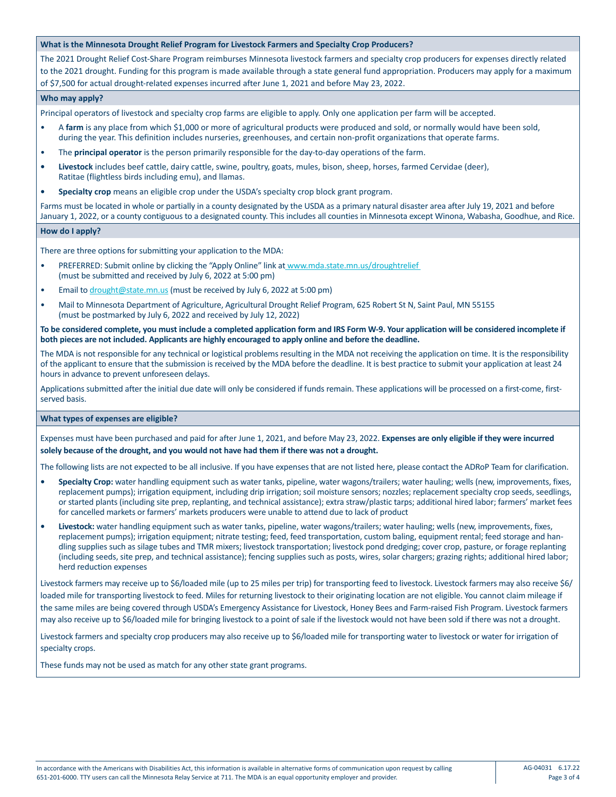# **What is the Minnesota Drought Relief Program for Livestock Farmers and Specialty Crop Producers?**

The 2021 Drought Relief Cost-Share Program reimburses Minnesota livestock farmers and specialty crop producers for expenses directly related to the 2021 drought. Funding for this program is made available through a state general fund appropriation. Producers may apply for a maximum of \$7,500 for actual drought-related expenses incurred after June 1, 2021 and before May 23, 2022.

# **Who may apply?**

Principal operators of livestock and specialty crop farms are eligible to apply. Only one application per farm will be accepted.

- A **farm** is any place from which \$1,000 or more of agricultural products were produced and sold, or normally would have been sold, during the year. This definition includes nurseries, greenhouses, and certain non-profit organizations that operate farms.
- The **principal operator** is the person primarily responsible for the day-to-day operations of the farm.
- **• Livestock** includes beef cattle, dairy cattle, swine, poultry, goats, mules, bison, sheep, horses, farmed Cervidae (deer), Ratitae (flightless birds including emu), and llamas.
- **• Specialty crop** means an eligible crop under the USDA's specialty crop block grant program.

Farms must be located in whole or partially in a county designated by the USDA as a primary natural disaster area after July 19, 2021 and before January 1, 2022, or a county contiguous to a designated county. This includes all counties in Minnesota except Winona, Wabasha, Goodhue, and Rice.

# **How do I apply?**

There are three options for submitting your application to the MDA:

- PREFERRED: Submit online by clicking the "Apply Online" link at <www.mda.state.mn.us/droughtrelief> (must be submitted and received by July 6, 2022 at 5:00 pm)
- Email to [drought@state.mn.us](mailto:drought%40state.mn.us?subject=drought%40state.mn.us) (must be received by July 6, 2022 at 5:00 pm)
- Mail to Minnesota Department of Agriculture, Agricultural Drought Relief Program, 625 Robert St N, Saint Paul, MN 55155 (must be postmarked by July 6, 2022 and received by July 12, 2022)

**To be considered complete, you must include a completed application form and IRS Form W-9. Your application will be considered incomplete if both pieces are not included. Applicants are highly encouraged to apply online and before the deadline.**

The MDA is not responsible for any technical or logistical problems resulting in the MDA not receiving the application on time. It is the responsibility of the applicant to ensure that the submission is received by the MDA before the deadline. It is best practice to submit your application at least 24 hours in advance to prevent unforeseen delays.

Applications submitted after the initial due date will only be considered if funds remain. These applications will be processed on a first-come, firstserved basis.

#### **What types of expenses are eligible?**

Expenses must have been purchased and paid for after June 1, 2021, and before May 23, 2022. **Expenses are only eligible if they were incurred solely because of the drought, and you would not have had them if there was not a drought.**

The following lists are not expected to be all inclusive. If you have expenses that are not listed here, please contact the ADRoP Team for clarification.

- **• Specialty Crop:** water handling equipment such as water tanks, pipeline, water wagons/trailers; water hauling; wells (new, improvements, fixes, replacement pumps); irrigation equipment, including drip irrigation; soil moisture sensors; nozzles; replacement specialty crop seeds, seedlings, or started plants (including site prep, replanting, and technical assistance); extra straw/plastic tarps; additional hired labor; farmers' market fees for cancelled markets or farmers' markets producers were unable to attend due to lack of product
- **• Livestock:** water handling equipment such as water tanks, pipeline, water wagons/trailers; water hauling; wells (new, improvements, fixes, replacement pumps); irrigation equipment; nitrate testing; feed, feed transportation, custom baling, equipment rental; feed storage and handling supplies such as silage tubes and TMR mixers; livestock transportation; livestock pond dredging; cover crop, pasture, or forage replanting (including seeds, site prep, and technical assistance); fencing supplies such as posts, wires, solar chargers; grazing rights; additional hired labor; herd reduction expenses

Livestock farmers may receive up to \$6/loaded mile (up to 25 miles per trip) for transporting feed to livestock. Livestock farmers may also receive \$6/ loaded mile for transporting livestock to feed. Miles for returning livestock to their originating location are not eligible. You cannot claim mileage if the same miles are being covered through USDA's Emergency Assistance for Livestock, Honey Bees and Farm-raised Fish Program. Livestock farmers may also receive up to \$6/loaded mile for bringing livestock to a point of sale if the livestock would not have been sold if there was not a drought.

Livestock farmers and specialty crop producers may also receive up to \$6/loaded mile for transporting water to livestock or water for irrigation of specialty crops.

These funds may not be used as match for any other state grant programs.